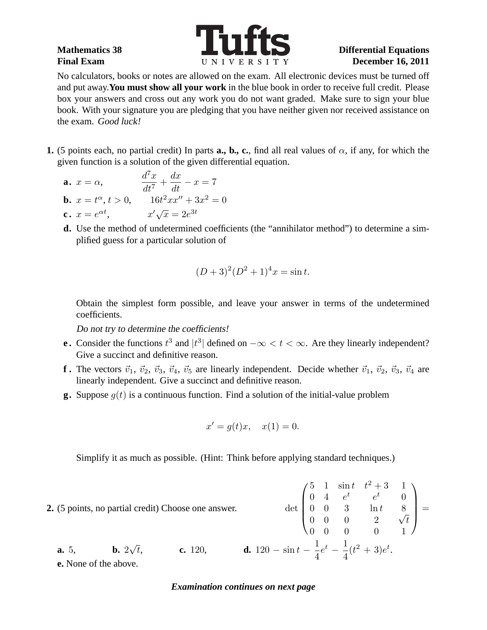

No calculators, books or notes are allowed on the exam. All electronic devices must be turned off and put away.**You must show all your work** in the blue book in order to receive full credit. Please box your answers and cross out any work you do not want graded. Make sure to sign your blue book. With your signature you are pledging that you have neither given nor received assistance on the exam. Good luck!

- **1.** (5 points each, no partial credit) In parts **a., b., c.**, find all real values of  $\alpha$ , if any, for which the given function is a solution of the given differential equation.
	- **a.**  $x = \alpha$ ,  $d^7x$  $\frac{d}{dt^7}$  $dx$  $\frac{dx}{dt} - x = 7$ **b.**  $x = t^{\alpha}, t > 0,$   $16t^2xx'' + 3x^2 = 0$ **c.**  $x = e^{\alpha t}$ ,  $x' \sqrt{x} = 2e^{3t}$
	- **d.** Use the method of undetermined coefficients (the "annihilator method") to determine a simplified guess for a particular solution of

$$
(D+3)^2(D^2+1)^4x = \sin t.
$$

Obtain the simplest form possible, and leave your answer in terms of the undetermined coefficients.

Do not try to determine the coefficients!

- **e.** Consider the functions  $t^3$  and  $|t^3|$  defined on  $-\infty < t < \infty$ . Are they linearly independent? Give a succinct and definitive reason.
- **f**. The vectors  $\vec{v}_1$ ,  $\vec{v}_2$ ,  $\vec{v}_3$ ,  $\vec{v}_4$ ,  $\vec{v}_5$  are linearly independent. Decide whether  $\vec{v}_1$ ,  $\vec{v}_2$ ,  $\vec{v}_3$ ,  $\vec{v}_4$  are linearly independent. Give a succinct and definitive reason.
- **g.** Suppose  $q(t)$  is a continuous function. Find a solution of the initial-value problem

$$
x' = g(t)x, \quad x(1) = 0.
$$

Simplify it as much as possible. (Hint: Think before applying standard techniques.)

**2.** (5 points, no partial credit) Choose one answer.  $\sqrt{ }$  $\overline{\phantom{a}}$ 5 1  $\sin t$   $t^2 + 3$  1 0 4  $e^t$   $e^t$  0 0 0 3  $\ln t$  8  $\begin{array}{ccccccc}\n0 & 0 & 0 & 2 & \sqrt{t}\n\end{array}$ 0 0 0 0 1  $\setminus$  $\Bigg) =$ **a.** 5, **b.**  $2\sqrt{t}$ , **c.** 120, **d.** 120 – sin  $t - \frac{1}{4}$ 4  $e^t - \frac{1}{4}$ 4  $(t^2+3)e^t$ .

**e.** None of the above.

## *Examination continues on next page*